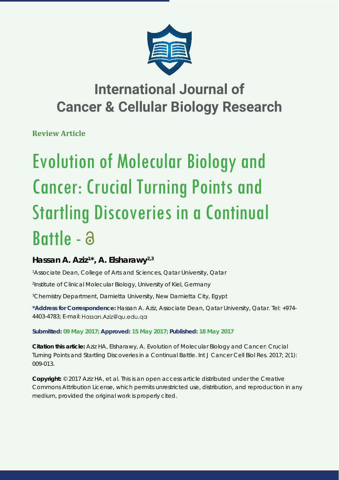

## **International Journal of Cancer & Cellular Biology Research**

**Review Article**

# Evolution of Molecular Biology and Cancer: Crucial Turning Points and Startling Discoveries in a Continual Battle -

### **Hassan A. Aziz1 \*, A. Elsharawy2,3**

*1 Associate Dean, College of Arts and Sciences, Qatar University, Qatar*

*2 Institute of Clinical Molecular Biology, University of Kiel, Germany*

*3 Chemistry Department, Damietta University, New Damietta City, Egypt*

**\*Address for Correspondence:** Hassan A. Aziz, Associate Dean, Qatar University, Qatar. Tel: +974- 4403-4783; E-mail: Hassan.Aziz@qu.edu.qa

#### **Submitted: 09 May 2017; Approved: 15 May 2017; Published: 18 May 2017**

**Citation this article:** Aziz HA, Elsharawy, A. Evolution of Molecular Biology and Cancer: Crucial Turning Points and Startling Discoveries in a Continual Battle. Int J Cancer Cell Biol Res. 2017; 2(1): 009-013.

**Copyright:** © 2017 Aziz HA, et al. This is an open access article distributed under the Creative Commons Attribution License, which permits unrestricted use, distribution, and reproduction in any medium, provided the original work is properly cited.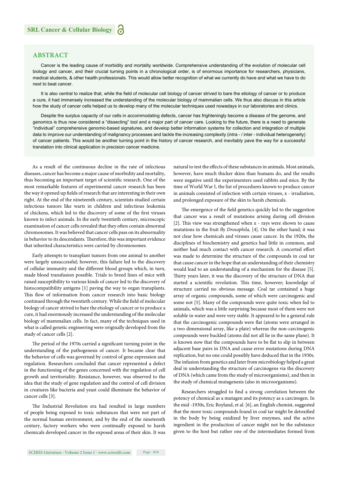#### **ABSTRACT**

Cancer is the leading cause of morbidity and mortality worldwide. Comprehensive understanding of the evolution of molecular cell biology and cancer, and their crucial turning points in a chronological order, is of enormous importance for researchers, physicians, medical students, & other health professionals. This would allow better recognition of what we currently do have and what we have to do next to beat cancer.

It is also central to realize that, while the field of molecular cell biology of cancer strived to bare the etiology of cancer or to produce a cure, it had immensely increased the understanding of the molecular biology of mammalian cells. We thus also discuss in this article how the study of cancer cells helped us to develop many of the molecular techniques used nowadays in our laboratories and clinics.

Despite the surplus capacity of our cells in accommodating defects, cancer has frighteningly become a disease of the genome, and genomics is thus now considered a "dissecting" tool and a major part of cancer care. Looking to the future, there is a need to generate "individual" comprehensive genomic-based signatures, and develop better information systems for collection and integration of multiple data to improve our understanding of malignancy processes and tackle the increasing complexity (intra - / inter - individual heterogeneity) of cancer patients. This would be another turning point in the history of cancer research, and inevitably pave the way for a successful translation into clinical application in precision cancer medicine.

As a result of the continuous decline in the rate of infectious diseases, cancer has become a major cause of morbidity and mortality, thus becoming an important target of scientific research. One of the most remarkable features of experimental cancer research has been the way it opened up fields of research that are interesting in their own right. At the end of the nineteenth century, scientists studied certain infectious tumors like warts in children and infectious leukemia of chickens, which led to the discovery of some of the first viruses known to infect animals. In the early twentieth century, microscopic examination of cancer cells revealed that they often contain abnormal chromosomes. It was believed that cancer cells pass on its abnormality in behavior to its descendants. Therefore, this was important evidence that inherited characteristics were carried by chromosomes.

Early attempts to transplant tumors from one animal to another were largely unsuccessful; however, this failure led to the discovery of cellular immunity and the different blood groups which, in turn, made blood transfusion possible. Trials to breed lines of mice with raised susceptibility to various kinds of cancer led to the discovery of histocompatibility antigens [1] paving the way to organ transplants. This flow of information from cancer research into basic biology continued through the twentieth century. While the field of molecular biology of cancer strived to bare the etiology of cancer or to produce a cure, it had enormously increased the understanding of the molecular biology of mammalian cells. In fact, many of the techniques used in what is called genetic engineering were originally developed from the study of cancer cells [2].

The period of the 1970s carried a significant turning point in the understanding of the pathogenesis of cancer. It became clear that the behavior of cells was governed by control of gene expression and regulation. Researchers concluded that cancer represented a defect in the functioning of the genes concerned with the regulation of cell growth and territoriality. Resistance, however, was observed to the idea that the study of gene regulation and the control of cell division in creatures like bacteria and yeast could illuminate the behavior of cancer cells [3].

The Industrial Revolution era had resulted in large numbers of people being exposed to toxic substances that were not part of the normal human environment, and by the end of the nineteenth century, factory workers who were continually exposed to harsh chemicals developed cancer in the exposed areas of their skin. It was

natural to test the effects of these substances in animals. Most animals, however, have much thicker skins than humans do, and the results were negative until the experimenters used rabbits and mice. By the time of World War I, the list of procedures known to produce cancer in animals consisted of infection with certain viruses, x - irradiation, and prolonged exposure of the skin to harsh chemicals.

The emergence of the field genetics quickly led to the suggestion that cancer was a result of mutations arising during cell division [2]. This view was strengthened when x - rays were shown to cause mutations in the fruit fly *Drosophila*, [4]. On the other hand; it was not clear how chemicals and viruses cause cancer. In the 1920s, the disciplines of biochemistry and genetics had little in common, and neither had much contact with cancer research. A concerted effort was made to determine the structure of the compounds in coal tar that cause cancer in the hope that an understanding of their chemistry would lead to an understanding of a mechanism for the disease [5]. Thirty years later, it was the discovery of the structure of DNA that started a scientific revolution. This time, however; knowledge of structure carried no obvious message. Coal tar contained a huge array of organic compounds, some of which were carcinogenic and some not [5]. Many of the compounds were quite toxic when fed to animals, which was a little surprising because most of them were not soluble in water and were very stable. It appeared to be a general rule that the carcinogenic compounds were flat (atoms were arranged in a two dimensional array, like a plate) whereas the non-carcinogenic compounds were buckled (atoms did not all lie in the same plane). It is known now that the compounds have to be flat to slip in between adjacent base pairs in DNA and cause error mutations during DNA replication, but no one could possibly have deduced that in the 1930s. The infusion from genetics and later from microbiology helped a great deal in understanding the structure of carcinogens via the discovery of DNA (which came from the study of microorganisms), and then in the study of chemical mutagenesis (also in microorganisms).

Researchers struggled to find a strong correlation between the potency of chemical as a mutagen and its potency as a carcinogen. In the mid -1930s, Eric Boyland, et al. [6], an English chemist, suggested that the more toxic compounds found in coal tar might be detoxified in the body by being oxidized by liver enzymes, and the active ingredient in the production of cancer might not be the substance given to the host but rather one of the intermediates formed from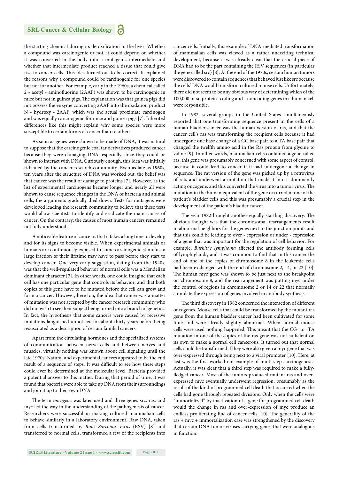#### **SRL Cancer & Cellular Biology**

the starting chemical during its detoxification in the liver. Whether a compound was carcinogenic or not, it could depend on whether it was converted in the body into a mutagenic intermediate and whether that intermediate product reached a tissue that could give rise to cancer cells. This idea turned out to be correct. It explained the reasons why a compound could be carcinogenic for one species but not for another. For example, early in the 1960s, a chemical called 2 - acetyl - aminofluorine (2AAF) was shown to be carcinogenic in mice but not in guinea pigs. The explanation was that guinea pigs did not possess the enzyme converting 2AAF into the oxidation product N - hydroxy - 2AAF, which was the actual proximate carcinogen and was equally carcinogenic for mice and guinea pigs [7]. Inherited differences like this might explain why some species were more susceptible to certain forms of cancer than to others.

As soon as genes were shown to be made of DNA, it was natural to suppose that the carcinogenic coal tar derivatives produced cancer because they were damaging DNA, especially since they could be shown to interact with DNA. Curiously enough, this idea was initially ridiculed by the cancer research community. Even as late as 1960s, ten years after the structure of DNA was worked out, the belief was that cancer was the result of damage to proteins [7]. However, as the list of experimental carcinogens became longer and nearly all were shown to cause sequence changes in the DNA of bacteria and animal cells, the arguments gradually died down. Tests for mutagens were developed leading the research community to believe that these tests would allow scientists to identify and eradicate the main causes of cancer. On the contrary, the causes of most human cancers remained not fully understood.

A noticeable feature of cancer is that it takes a long time to develop and for its signs to become visible. When experimental animals or humans are continuously exposed to some carcinogenic stimulus, a large fraction of their lifetime may have to pass before they start to develop cancer. One very early suggestion, dating from the 1940s, was that the well-regulated behavior of normal cells was a Mendelian dominant character [7]. In other words, one could imagine that each cell has one particular gene that controls its behavior, and that both copies of this gene have to he mutated before the cell can grow and form a cancer. However, here too, the idea that cancer was a matter of mutation was not accepted by the cancer research community who did not wish to see their subject being turned into a branch of genetics. In fact, the hypothesis that some cancers were caused by recessive mutations languished unnoticed for about thirty years before being resuscitated as a description of certain familial cancers.

Apart from the circulating hormones and the specialized systems of communication between nerve cells and between nerves and muscles, virtually nothing was known about cell signaling until the late 1970s. Natural and experimental cancers appeared to be the end result of a sequence of steps. It was difficult to see how these steps could ever be determined at the molecular level. Bacteria provided a potential answer to this matter. During that period of time, it was found that bacteria were able to take up DNA from their surroundings and join it up to their own DNA.

The term *oncogene* was later used and three genes src, ras, and myc led the way in the understanding of the pathogenesis of cancer. Researchers were successful in making cultured mammalian cells to behave similarly in a laboratory environment. Raw DNA, taken from cells transformed by *Rous Sarcoma Virus* (RSV) [8] and transferred to normal cells, transformed a few of the recipients into cancer cells. Initially, this example of DNA-mediated transformation of mammalian cells was viewed as a rather unexciting technical development, because it was already clear that the crucial piece of DNA had to be the part containing the RSV sequences (in particular the gene called src) [8]. At the end of the 1970s, certain human tumors were discovered to contain sequences that behaved just like src because the cells' DNA would transform cultured mouse cells. Unfortunately, there did not seem to be any obvious way of determining which of the 100,000 or so protein -coding and - noncoding genes in a human cell were responsible.

In 1982, several groups in the United States simultaneously reported that one transforming sequence present in the cells of a human bladder cancer was the human version of ras, and that the cancer cell's ras was transforming the recipient cells because it had undergone one base change of a GC base pair to a TA base pair that changed the twelfth amino acid in the Ras protein from glycine to valine [9]. In other words, mammalian cells contained a gene called ras; this gene was presumably concerned with some aspect of control, because it could lead to cancer if it had undergone a change in sequence. The rat version of the gene was picked up by a retrovirus of rats and underwent a mutation that made it into a dominantly acting oncogene, and this converted the virus into a tumor virus. The mutation in the human equivalent of the gene occurred in one of the patient's bladder cells and this was presumably a crucial step in the development of the patient's bladder cancer.

The year 1982 brought another equally startling discovery. The obvious thought was that the chromosomal rearrangements result in abnormal neighbors for the genes next to the junction points and that this could be leading to over - expression or under - expression of a gene that was important for the regulation of cell behavior. For example, *Burkitt's lymphoma* affected the antibody forming cells of lymph glands, and it was common to find that in this cancer the end of one of the copies of chromosome 8 in the leukemic cells had been exchanged with the end of chromosome 2, 14, or 22 [10]. The human myc gene was shown to be just next to the breakpoint on chromosome 8, and the rearrangement was putting myc under the control of regions in chromosome 2 or 14 or 22 that normally stimulate the expression of genes involved in antibody synthesis.

The third discovery in 1982 concerned the interaction of different oncogenes. Mouse cells that could be transformed by the mutant ras gene from the human bladder cancer had been cultivated for some time and were already slightly abnormal. When normal mouse cells were used nothing happened. This meant that the CG- to -TA mutation in one of the copies of the ras gene was not sufficient on its own to make a normal cell cancerous. It turned out that normal cells could be transformed if they were also given a myc gene that was over-expressed through being next to a viral promoter [10]. Here, at last was the first worked out example of multi-step carcinogenesis. Actually, it was clear that a third step was required to make a fullyfledged cancer. Most of the tumors produced mutant ras and overexpressed myc eventually underwent regression, presumably as the result of the kind of programmed cell death that occurred when the cells had gone through repeated divisions. Only when the cells were "immortalized" by inactivation of a gene for programmed cell death would the change in ras and over-expression of myc produce an endless proliferating line of cancer cells [10]. The generality of the ras + myc + immortalization case was strengthened by the discovery that certain DNA tumor viruses carrying genes that were analogous in function.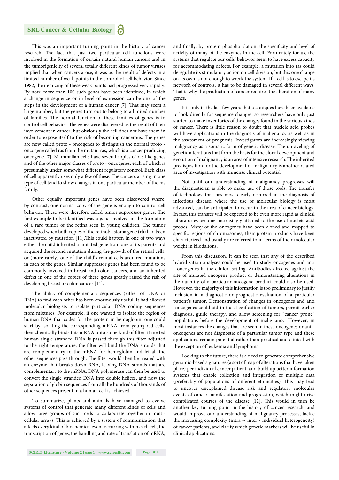#### **SRL Cancer & Cellular Biology**

This was an important turning point in the history of cancer research. The fact that just two particular cell functions were involved in the formation of certain natural human cancers and in the tumorigenicity of several totally different kinds of tumor viruses implied that when cancers arose, it was as the result of defects in a limited number of weak points in the control of cell behavior. Since 1982, the itemizing of these weak points had progressed very rapidly. By now, more than 100 such genes have been identified, in which a change in sequence or in level of expression can be one of the steps in the development of a human cancer [7]. That may seem a large number, but the genes turn out to belong to a limited number of families. The normal function of these families of genes is to control cell behavior. The genes were discovered as the result of their involvement in cancer, but obviously the cell does not have them in order to expose itself to the risk of becoming cancerous. The genes are now called proto - oncogenes to distinguish the normal proto oncogene called ras from the mutant ras, which is a cancer producing oncogene [7]. Mammalian cells have several copies of ras like genes and of the other major classes of proto - oncogenes, each of which is presumably under somewhat different regulatory control. Each class of cell apparently uses only a few of these. The cancers arising in one type of cell tend to show changes in one particular member of the ras family.

Other equally important genes have been discovered where, by contrast, one normal copy of the gene is enough to control cell behavior. These were therefore called tumor suppressor genes. The first example to be identified was a gene involved in the formation of a rare tumor of the retina seen in young children. The tumor developed when both copies of the retinoblastoma gene (rb) had been inactivated by mutation  $[11]$ . This could happen in one of two ways either the child inherited a mutated gene from one of its parents and acquired the second mutation during the growth of the retinal cells, or (more rarely) one of the child's retinal cells acquired mutations in each of the genes. Similar suppressor genes had been found to be commonly involved in breast and colon cancers, and an inherited defect in one of the copies of these genes greatly raised the risk of developing breast or colon cancer [11].

The ability of complementary sequences (either of DNA or RNA) to find each other has been enormously useful. It had allowed molecular biologists to isolate particular DNA coding sequences from mixtures. For example, if one wanted to isolate the region of human DNA that codes for the protein in hemoglobin, one could start by isolating the corresponding mRNA from young red cells, then chemically binds this mRNA onto some kind of filter, if melted human single stranded DNA is passed through this filter adjusted to the right temperature, the filter will bind the DNA strands that are complementary to the mRNA for hemoglobin and let all the other sequences pass through. The filter would then be treated with an enzyme that breaks down RNA, leaving DNA strands that are complementary to the mRNA. DNA polymerase can then be used to convert the single stranded DNA into double helices, and now the separation of globin sequences from all the hundreds of thousands of other sequences present in a human cell is achieved.

To summarize, plants and animals have managed to evolve systems of control that generate many different kinds of cells and allow large groups of such cells to collaborate together in multicellular arrays. This is achieved by a system of communication that affects every kind of biochemical event occurring within each cell, the transcription of genes, the handling and rate of translation of mRNA, and finally, by protein phosphorylation, the specificity and level of activity of many of the enzymes in the cell. Fortunately for us, the systems that regulate our cells' behavior seem to have excess capacity for accommodating defects. For example, a mutation into ras could deregulate its stimulatory action on cell division, but this one change on its own is not enough to wreck the system. If a cell is to escape its network of controls, it has to be damaged in several different ways. That is why the production of cancer requires the alteration of many genes.

It is only in the last few years that techniques have been available to look directly for sequence changes, so researchers have only just started to make inventories of the changes found in the various kinds of cancer. There is little reason to doubt that nucleic acid probes will have applications in the diagnosis of malignancy as well as in the assessment of prognosis. Investigators are increasingly viewing malignancy as a somatic form of genetic disease. The unraveling of genetic alterations that form the basis for the clonal development and evolution of malignancy is an area of intensive research. The inherited predisposition for the development of malignancy is another related area of investigation with immense clinical potential.

Not until our understanding of malignancy progresses will the diagnostician is able to make use of those tools. The transfer of technology that has most clearly occurred in the diagnosis of infectious disease, where the use of molecular biology is most advanced, can be anticipated to occur in the area of cancer biology. In fact, this transfer will be expected to be even more rapid as clinical laboratories become increasingly attuned to the use of nucleic acid probes. Many of the oncogenes have been cloned and mapped to specific regions of chromosomes; their protein products have been characterized and usually are referred to in terms of their molecular weight in kilodaltons.

From this discussion, it can be seen that any of the described hybridization analyses could be used to study oncogenes and anti - oncogenes in the clinical setting. Antibodies directed against the site of mutated oncogene product or demonstrating alterations in the quantity of a particular oncogene product could also be used. However, the majority of this information is too preliminary to justify inclusion in a diagnostic or prognostic evaluation of a particular patient's tumor. Demonstration of changes in oncogenes and anti -oncogenes could aid in the classification of tumors, permit earlier diagnosis, guide therapy, and allow screening for "cancer prone" populations before the development of malignancy. However, in most instances the changes that are seen in these oncogenes or antioncogenes are not diagnostic of a particular tumor type and these applications remain potential rather than practical and clinical with the exception of leukemia and lymphoma.

Looking to the future, there is a need to generate comprehensive genomic-based signatures (a sort of map of alterations that have taken place) per individual cancer patient, and build up better information systems that enable collection and integration of multiple data (preferably of populations of different ethnicities). This may lead to uncover unexplained disease risk and regulatory molecular events of cancer manifestation and progression, which might drive complicated courses of the disease [12]. This would in turn be another key turning point in the history of cancer research, and would improve our understanding of malignancy processes, tackle the increasing complexity (intra -/ inter - individual heterogeneity) of cancer patients, and clarify which genetic markers will be useful in clinical applications.